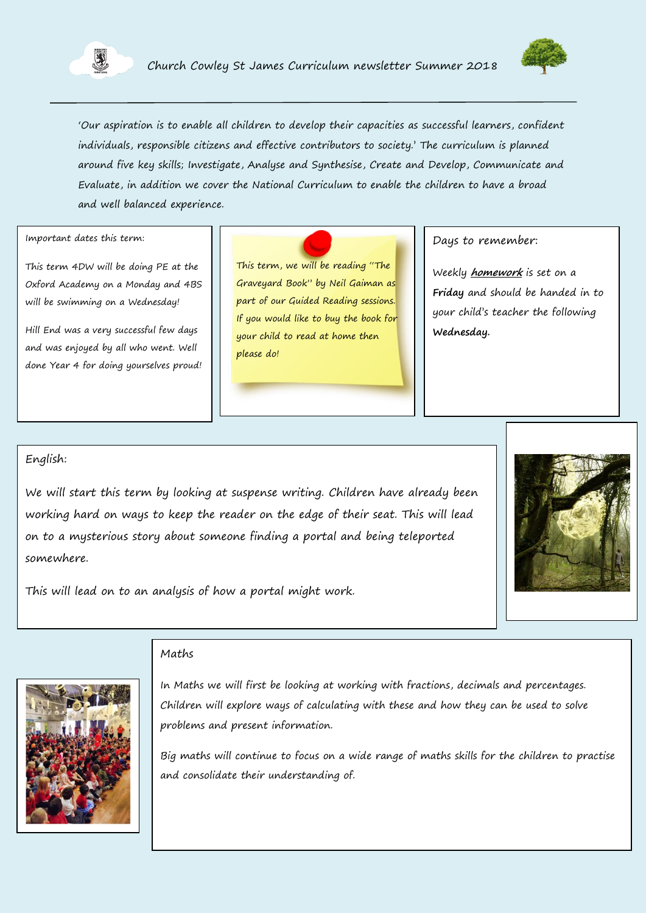



"Our aspiration is to enable all children to develop their capacities as successful learners, confident individuals, responsible citizens and effective contributors to society." The curriculum is planned around five key skills; Investigate, Analyse and Synthesise, Create and Develop, Communicate and Evaluate, in addition we cover the National Curriculum to enable the children to have a broad and well balanced experience.

Important dates this term:

This term 4DW will be doing PE at the Oxford Academy on a Monday and 4BS will be swimming on a Wednesday!

Hill End was a very successful few days and was enjoyed by all who went. Well done Year 4 for doing yourselves proud! This term, we will be reading "The Graveyard Book" by Neil Gaiman as part of our Guided Reading sessions. If you would like to buy the book for your child to read at home then please do!

Days to remember:

Weekly **homework** is set on a **Friday** and should be handed in to your child"s teacher the following **Wednesday.**

### English:

We will start this term by looking at suspense writing. Children have already been working hard on ways to keep the reader on the edge of their seat. This will lead on to a mysterious story about someone finding a portal and being teleported somewhere.



This will lead on to an analysis of how a portal might work.



#### Maths

In Maths we will first be looking at working with fractions, decimals and percentages. Children will explore ways of calculating with these and how they can be used to solve problems and present information.

Big maths will continue to focus on a wide range of maths skills for the children to practise and consolidate their understanding of.